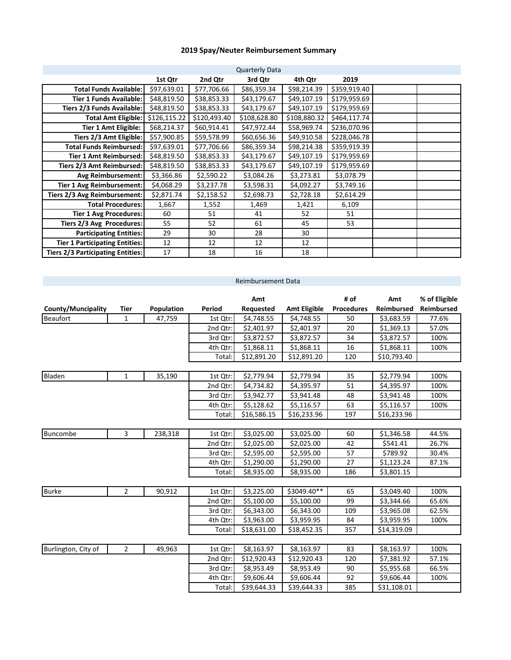## **2019 Spay/Neuter Reimbursement Summary**

|                                          |              |              | <b>Quarterly Data</b> |              |              |  |
|------------------------------------------|--------------|--------------|-----------------------|--------------|--------------|--|
|                                          | 1st Qtr      | 2nd Qtr      | 3rd Qtr               | 4th Qtr      | 2019         |  |
| <b>Total Funds Available:</b>            | \$97,639.01  | \$77,706.66  | \$86,359.34           | \$98,214.39  | \$359,919.40 |  |
| <b>Tier 1 Funds Available:</b>           | \$48,819.50  | \$38,853.33  | \$43,179.67           | \$49,107.19  | \$179,959.69 |  |
| Tiers 2/3 Funds Available:               | \$48,819.50  | \$38,853.33  | \$43,179.67           | \$49,107.19  | \$179,959.69 |  |
| <b>Total Amt Eligible:</b>               | \$126,115.22 | \$120,493.40 | \$108,628.80          | \$108,880.32 | \$464,117.74 |  |
| Tier 1 Amt Eligible:                     | \$68,214.37  | \$60,914.41  | \$47,972.44           | \$58,969.74  | \$236,070.96 |  |
| Tiers 2/3 Amt Eligible:                  | \$57,900.85  | \$59,578.99  | \$60,656.36           | \$49,910.58  | \$228,046.78 |  |
| <b>Total Funds Reimbursed:</b>           | \$97,639.01  | \$77,706.66  | \$86,359.34           | \$98,214.38  | \$359,919.39 |  |
| Tier 1 Amt Reimbursed:                   | \$48,819.50  | \$38,853.33  | \$43,179.67           | \$49,107.19  | \$179,959.69 |  |
| Tiers 2/3 Amt Reimbursed:                | \$48,819.50  | \$38,853.33  | \$43,179.67           | \$49,107.19  | \$179,959.69 |  |
| <b>Avg Reimbursement:</b>                | \$3,366.86   | \$2,590.22   | \$3,084.26            | \$3,273.81   | \$3,078.79   |  |
| <b>Tier 1 Avg Reimbursement:</b>         | \$4,068.29   | \$3,237.78   | \$3,598.31            | \$4,092.27   | \$3,749.16   |  |
| Tiers 2/3 Avg Reimbursement:             | \$2,871.74   | \$2,158.52   | \$2,698.73            | \$2,728.18   | \$2,614.29   |  |
| <b>Total Procedures:</b>                 | 1,667        | 1,552        | 1,469                 | 1,421        | 6,109        |  |
| <b>Tier 1 Avg Procedures:</b>            | 60           | 51           | 41                    | 52           | 51           |  |
| Tiers 2/3 Avg Procedures:                | 55           | 52           | 61                    | 45           | 53           |  |
| <b>Participating Entities:</b>           | 29           | 30           | 28                    | 30           |              |  |
| <b>Tier 1 Participating Entities:</b>    | 12           | 12           | 12                    | 12           |              |  |
| <b>Tiers 2/3 Participating Entities:</b> | 17           | 18           | 16                    | 18           |              |  |

|                     |                |            |          | Reimbursement Data |                     |                   |                        |                   |
|---------------------|----------------|------------|----------|--------------------|---------------------|-------------------|------------------------|-------------------|
|                     |                |            |          | Amt                |                     | # of              | Amt                    | % of Eligible     |
| County/Muncipality  | <b>Tier</b>    | Population | Period   | Requested          | <b>Amt Eligible</b> | <b>Procedures</b> | Reimbursed             | <b>Reimbursed</b> |
| <b>Beaufort</b>     | $\mathbf{1}$   | 47,759     | 1st Qtr: | \$4,748.55         | \$4,748.55          | 50                | \$3,683.59             | 77.6%             |
|                     |                |            | 2nd Qtr: | \$2,401.97         | \$2,401.97          | 20                | \$1,369.13             | 57.0%             |
|                     |                |            | 3rd Qtr: | \$3,872.57         | \$3,872.57          | 34                | \$3,872.57             | 100%              |
|                     |                |            | 4th Qtr: | \$1,868.11         | \$1,868.11          | 16                | \$1,868.11             | 100%              |
|                     |                |            | Total:   | \$12,891.20        | \$12,891.20         | 120               | \$10,793.40            |                   |
|                     |                |            |          |                    |                     |                   |                        |                   |
| Bladen              | $\mathbf{1}$   | 35,190     | 1st Qtr: | \$2,779.94         | \$2,779.94          | 35                | \$2,779.94             | 100%              |
|                     |                |            | 2nd Qtr: | \$4,734.82         | \$4,395.97          | 51                | \$4,395.97             | 100%              |
|                     |                |            | 3rd Qtr: | \$3,942.77         | \$3,941.48          | 48                | \$3,941.48             | 100%              |
|                     |                |            | 4th Qtr: | \$5,128.62         | \$5,116.57          | 63                | \$5,116.57             | 100%              |
|                     |                |            | Total:   | \$16,586.15        | \$16,233.96         | 197               | \$16,233.96            |                   |
|                     |                |            |          |                    |                     |                   |                        |                   |
| Buncombe            | 3              | 238,318    | 1st Qtr: | \$3,025.00         | \$3,025.00          | 60                | \$1,346.58             | 44.5%             |
|                     |                |            | 2nd Qtr: | \$2,025.00         | \$2,025.00          | 42                | \$541.41               | 26.7%             |
|                     |                |            | 3rd Qtr: | \$2,595.00         | \$2,595.00          | 57                | \$789.92               | 30.4%             |
|                     |                |            | 4th Qtr: | \$1,290.00         | \$1,290.00          | 27                | \$1,123.24             | 87.1%             |
|                     |                |            | Total:   | \$8,935.00         | \$8,935.00          | 186               | \$3,801.15             |                   |
|                     |                |            |          |                    |                     |                   |                        |                   |
| <b>Burke</b>        | $\overline{2}$ | 90,912     | 1st Qtr: | \$3,225.00         | \$3049.40**         | 65                | \$3,049.40             | 100%              |
|                     |                |            | 2nd Qtr: | \$5,100.00         | \$5,100.00          | 99                | \$3,344.66             | 65.6%             |
|                     |                |            | 3rd Qtr: | \$6,343.00         | \$6,343.00          | 109               | \$3,965.08             | 62.5%             |
|                     |                |            | 4th Qtr: | \$3,963.00         | \$3,959.95          | 84                | \$3,959.95             | 100%              |
|                     |                |            | Total:   | \$18,631.00        | \$18,452.35         | 357               | \$14,319.09            |                   |
|                     |                |            |          |                    |                     |                   |                        |                   |
| Burlington, City of | $\overline{2}$ | 49,963     | 1st Qtr: | \$8,163.97         | \$8,163.97          | 83                | \$8,163.97             | 100%              |
|                     |                |            | 2nd Qtr: | \$12,920.43        | \$12,920.43         | 120               | $\overline{$}7,381.92$ | 57.1%             |
|                     |                |            | 3rd Qtr: | \$8,953.49         | \$8,953.49          | 90                | \$5,955.68             | 66.5%             |
|                     |                |            | 4th Qtr: | \$9,606.44         | \$9,606.44          | 92                | \$9,606.44             | 100%              |
|                     |                |            | Total:   | \$39.644.33        | \$39.644.33         | 385               | \$31.108.01            |                   |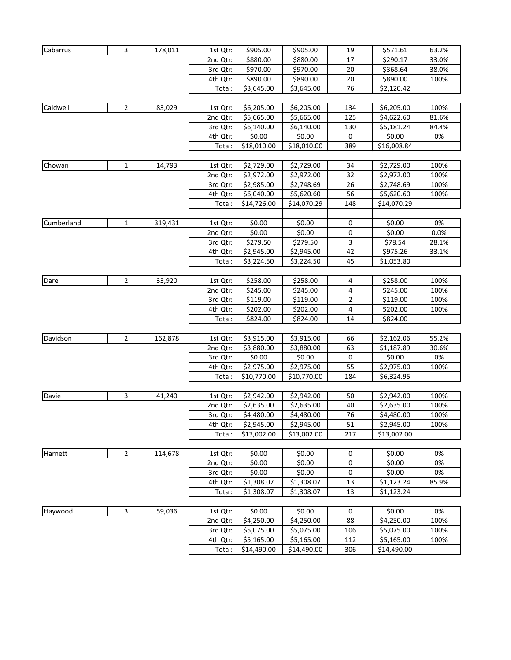| Cabarrus   | 3              | 178,011 | 1st Qtr: | \$905.00    | \$905.00    | 19  | \$571.61    | 63.2% |
|------------|----------------|---------|----------|-------------|-------------|-----|-------------|-------|
|            |                |         | 2nd Qtr: | \$880.00    | \$880.00    | 17  | \$290.17    | 33.0% |
|            |                |         | 3rd Qtr: | \$970.00    | \$970.00    | 20  | \$368.64    | 38.0% |
|            |                |         | 4th Qtr: | \$890.00    | \$890.00    | 20  | \$890.00    | 100%  |
|            |                |         | Total:   | \$3,645.00  | \$3,645.00  | 76  | \$2,120.42  |       |
|            |                |         |          |             |             |     |             |       |
| Caldwell   | $\overline{2}$ | 83,029  | 1st Qtr: | \$6,205.00  | \$6,205.00  | 134 | \$6,205.00  | 100%  |
|            |                |         | 2nd Qtr: | \$5,665.00  | \$5,665.00  | 125 | \$4,622.60  | 81.6% |
|            |                |         | 3rd Qtr: | \$6,140.00  | \$6,140.00  | 130 | \$5,181.24  | 84.4% |
|            |                |         | 4th Qtr: | \$0.00      | \$0.00      | 0   | \$0.00      | 0%    |
|            |                |         | Total:   | \$18,010.00 | \$18,010.00 | 389 | \$16,008.84 |       |
|            |                |         |          |             |             |     |             |       |
| Chowan     | 1              | 14,793  | 1st Qtr: | \$2,729.00  | \$2,729.00  | 34  | \$2,729.00  | 100%  |
|            |                |         | 2nd Qtr: | \$2,972.00  | \$2,972.00  | 32  | \$2,972.00  | 100%  |
|            |                |         | 3rd Qtr: | \$2,985.00  | \$2,748.69  | 26  | \$2,748.69  | 100%  |
|            |                |         | 4th Qtr: | \$6,040.00  | \$5,620.60  | 56  | \$5,620.60  | 100%  |
|            |                |         | Total    | \$14,726.00 | \$14,070.29 | 148 | \$14,070.29 |       |
|            |                |         |          |             |             |     |             |       |
| Cumberland | $\mathbf{1}$   | 319,431 | 1st Qtr: | \$0.00      | \$0.00      | 0   | \$0.00      | 0%    |
|            |                |         | 2nd Qtr: | \$0.00      | \$0.00      | 0   | \$0.00      | 0.0%  |
|            |                |         | 3rd Qtr: | \$279.50    | \$279.50    | 3   | \$78.54     | 28.1% |
|            |                |         | 4th Qtr: | \$2,945.00  | \$2,945.00  | 42  | \$975.26    | 33.1% |
|            |                |         | Total:   | \$3,224.50  | \$3,224.50  | 45  | \$1,053.80  |       |
|            |                |         |          |             |             |     |             |       |
| Dare       | $\overline{2}$ | 33,920  | 1st Qtr: | \$258.00    | \$258.00    | 4   | \$258.00    | 100%  |
|            |                |         | 2nd Qtr: | \$245.00    | \$245.00    | 4   | \$245.00    | 100%  |
|            |                |         | 3rd Qtr: | \$119.00    | \$119.00    | 2   | \$119.00    | 100%  |
|            |                |         | 4th Qtr: | \$202.00    | \$202.00    | 4   | \$202.00    | 100%  |
|            |                |         | Total    | \$824.00    | \$824.00    | 14  | \$824.00    |       |
|            |                |         |          |             |             |     |             |       |
| Davidson   | 2              | 162,878 | 1st Qtr: | \$3,915.00  | \$3,915.00  | 66  | \$2,162.06  | 55.2% |
|            |                |         | 2nd Qtr: | \$3,880.00  | \$3,880.00  | 63  | \$1,187.89  | 30.6% |
|            |                |         | 3rd Qtr: | \$0.00      | \$0.00      | 0   | \$0.00      | 0%    |
|            |                |         | 4th Qtr: | \$2,975.00  | \$2,975.00  | 55  | \$2,975.00  | 100%  |
|            |                |         | Total:   | \$10,770.00 | \$10,770.00 | 184 | \$6,324.95  |       |
| Davie      | 3              | 41,240  | 1st Qtr: | \$2,942.00  | \$2,942.00  | 50  | \$2,942.00  | 100%  |
|            |                |         | 2nd Qtr: | \$2,635.00  | \$2,635.00  | 40  | \$2,635.00  | 100%  |
|            |                |         | 3rd Qtr: | \$4,480.00  | \$4,480.00  | 76  | \$4,480.00  | 100%  |
|            |                |         | 4th Qtr: | \$2,945.00  | \$2,945.00  | 51  | \$2,945.00  | 100%  |
|            |                |         | Total    | \$13,002.00 | \$13,002.00 | 217 | \$13,002.00 |       |
|            |                |         |          |             |             |     |             |       |
| Harnett    | $\overline{2}$ | 114,678 | 1st Qtr: | \$0.00      | \$0.00      | 0   | \$0.00      | 0%    |
|            |                |         | 2nd Qtr: | \$0.00      | \$0.00      | 0   | \$0.00      | 0%    |
|            |                |         | 3rd Qtr: | \$0.00      | \$0.00      | 0   | \$0.00      | 0%    |
|            |                |         | 4th Qtr: | \$1,308.07  | \$1,308.07  | 13  | \$1,123.24  | 85.9% |
|            |                |         | Total:   | \$1,308.07  | \$1,308.07  | 13  | \$1,123.24  |       |
|            |                |         |          |             |             |     |             |       |
| Haywood    | 3              | 59,036  | 1st Qtr: | \$0.00      | \$0.00      | 0   | \$0.00      | 0%    |
|            |                |         | 2nd Qtr: | \$4,250.00  | \$4,250.00  | 88  | \$4,250.00  | 100%  |
|            |                |         | 3rd Qtr: | \$5,075.00  | \$5,075.00  | 106 | \$5,075.00  | 100%  |
|            |                |         | 4th Qtr: | \$5,165.00  | \$5,165.00  | 112 | \$5,165.00  | 100%  |
|            |                |         | Total:   | \$14,490.00 | \$14,490.00 | 306 | \$14,490.00 |       |
|            |                |         |          |             |             |     |             |       |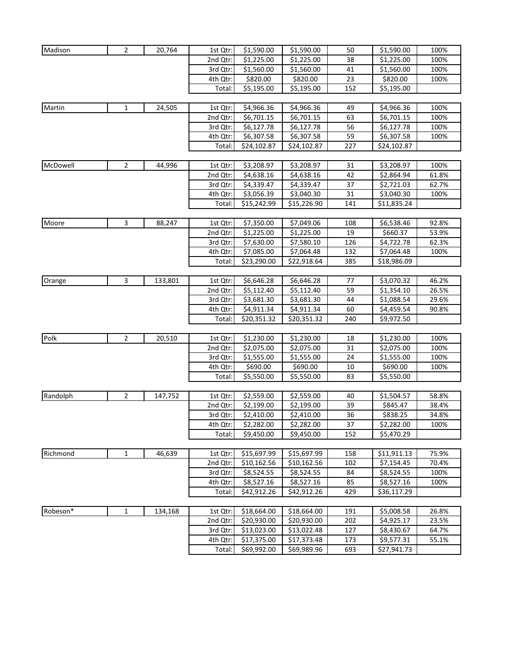| Madison  | $\overline{2}$ | 20,764  | 1st Qtr:             | \$1,590.00               | \$1,590.00               | 50       | \$1,590.00               | 100%           |
|----------|----------------|---------|----------------------|--------------------------|--------------------------|----------|--------------------------|----------------|
|          |                |         | 2nd Qtr:             | \$1,225.00               | \$1,225.00               | 38       | \$1,225.00               | 100%           |
|          |                |         | 3rd Qtr:             | \$1,560.00               | \$1,560.00               | 41       | \$1,560.00               | 100%           |
|          |                |         | 4th Qtr:             | \$820.00                 | \$820.00                 | 23       | \$820.00                 | 100%           |
|          |                |         | Total:               | \$5,195.00               | \$5,195.00               | 152      | \$5,195.00               |                |
|          |                |         |                      |                          |                          |          |                          |                |
| Martin   | $\mathbf{1}$   | 24,505  | 1st Qtr:             | \$4,966.36               | \$4,966.36               | 49       | \$4,966.36               | 100%           |
|          |                |         | 2nd Qtr:             | \$6,701.15               | \$6,701.15               | 63       | \$6,701.15               | 100%           |
|          |                |         | 3rd Qtr:             | \$6,127.78               | \$6,127.78               | 56       | \$6,127.78               | 100%           |
|          |                |         | 4th Qtr:             | \$6,307.58               | \$6,307.58               | 59       | \$6,307.58               | 100%           |
|          |                |         | Total:               | \$24,102.87              | \$24,102.87              | 227      | \$24,102.87              |                |
|          |                |         |                      |                          |                          |          |                          |                |
| McDowell | $\overline{2}$ | 44,996  | 1st Qtr:             | \$3,208.97               | \$3,208.97               | 31       | \$3,208.97               | 100%           |
|          |                |         | 2nd Qtr:             | \$4,638.16               | \$4,638.16               | 42       | \$2,864.94               | 61.8%          |
|          |                |         | 3rd Qtr:             | \$4,339.47               | \$4,339.47               | 37       | \$2,721.03               | 62.7%          |
|          |                |         | 4th Qtr:             | \$3,056.39               | \$3,040.30               | 31       | \$3,040.30               | 100%           |
|          |                |         | Total:               | \$15,242.99              | \$15,226.90              | 141      | \$11,835.24              |                |
|          |                |         |                      |                          |                          |          |                          |                |
| Moore    | 3              | 88,247  | 1st Qtr:             | \$7,350.00               | \$7,049.06               | 108      | \$6,538.46               | 92.8%          |
|          |                |         | 2nd Qtr:             | \$1,225.00               | \$1,225.00               | 19       | \$660.37                 | 53.9%          |
|          |                |         | 3rd Qtr:             | \$7,630.00               | \$7,580.10               | 126      | \$4,722.78               | 62.3%          |
|          |                |         | 4th Qtr:             | \$7,085.00               | \$7,064.48               | 132      | \$7,064.48               | 100%           |
|          |                |         | Total:               | \$23,290.00              | \$22,918.64              | 385      | \$18,986.09              |                |
| Orange   |                |         |                      |                          |                          |          |                          |                |
|          | 3              | 133,801 | 1st Qtr:<br>2nd Qtr: | \$6,646.28               | \$6,646.28               | 77<br>59 | \$3,070.32               | 46.2%<br>26.5% |
|          |                |         | 3rd Qtr:             | \$5,112.40<br>\$3,681.30 | \$5,112.40<br>\$3,681.30 | 44       | \$1,354.10<br>\$1,088.54 | 29.6%          |
|          |                |         | 4th Qtr:             | \$4,911.34               | \$4,911.34               | 60       | \$4,459.54               | 90.8%          |
|          |                |         | Total:               | \$20,351.32              | \$20,351.32              | 240      | \$9,972.50               |                |
|          |                |         |                      |                          |                          |          |                          |                |
| Polk     | $\overline{2}$ | 20,510  | 1st Qtr:             | \$1,230.00               | \$1,230.00               | 18       | \$1,230.00               | 100%           |
|          |                |         | 2nd Qtr:             | \$2,075.00               | \$2,075.00               | 31       | \$2,075.00               | 100%           |
|          |                |         | 3rd Qtr:             | \$1,555.00               | \$1,555.00               | 24       | \$1,555.00               | 100%           |
|          |                |         | 4th Qtr:             | \$690.00                 | \$690.00                 | 10       | \$690.00                 | 100%           |
|          |                |         | Total:               | \$5,550.00               | \$5,550.00               | 83       | \$5,550.00               |                |
|          |                |         |                      |                          |                          |          |                          |                |
| Randolph | $\overline{2}$ | 147,752 | 1st Qtr:             | \$2,559.00               | \$2,559.00               | 40       | \$1,504.57               | 58.8%          |
|          |                |         | 2nd Qtr:             | \$2,199.00               | \$2,199.00               | 39       | \$845.47                 | 38.4%          |
|          |                |         | 3rd Qtr:             | \$2,410.00               | \$2,410.00               | 36       | \$838.25                 | 34.8%          |
|          |                |         | 4th Qtr:             | \$2,282.00               | \$2,282.00               | 37       | \$2,282.00               | 100%           |
|          |                |         | Total:               | \$9,450.00               | \$9,450.00               | 152      | \$5,470.29               |                |
|          |                |         |                      |                          |                          |          |                          |                |
| Richmond | $\mathbf{1}$   | 46,639  | 1st Qtr:             | \$15,697.99              | \$15,697.99              | 158      | \$11,911.13              | 75.9%          |
|          |                |         | 2nd Qtr:             | \$10,162.56              | \$10,162.56              | 102      | \$7,154.45               | 70.4%          |
|          |                |         | 3rd Qtr:             | \$8,524.55               | \$8,524.55               | 84       | \$8,524.55               | 100%           |
|          |                |         | 4th Qtr:             | \$8,527.16               | \$8,527.16               | 85       | \$8,527.16               | 100%           |
|          |                |         | Total:               | \$42,912.26              | \$42,912.26              | 429      | \$36,117.29              |                |
|          |                |         |                      |                          |                          |          |                          |                |
| Robeson* | $\mathbf{1}$   | 134,168 | 1st Qtr:             | \$18,664.00              | \$18,664.00              | 191      | \$5,008.58               | 26.8%          |
|          |                |         | 2nd Qtr:             | \$20,930.00              | \$20,930.00              | 202      | \$4,925.17               | 23.5%          |
|          |                |         | 3rd Qtr:             | \$13,023.00              | \$13,022.48              | 127      | \$8,430.67               | 64.7%          |
|          |                |         | 4th Qtr:             | \$17,375.00              | \$17,373.48              | 173      | \$9,577.31               | 55.1%          |
|          |                |         | Total:               | \$69,992.00              | \$69,989.96              | 693      | \$27,941.73              |                |